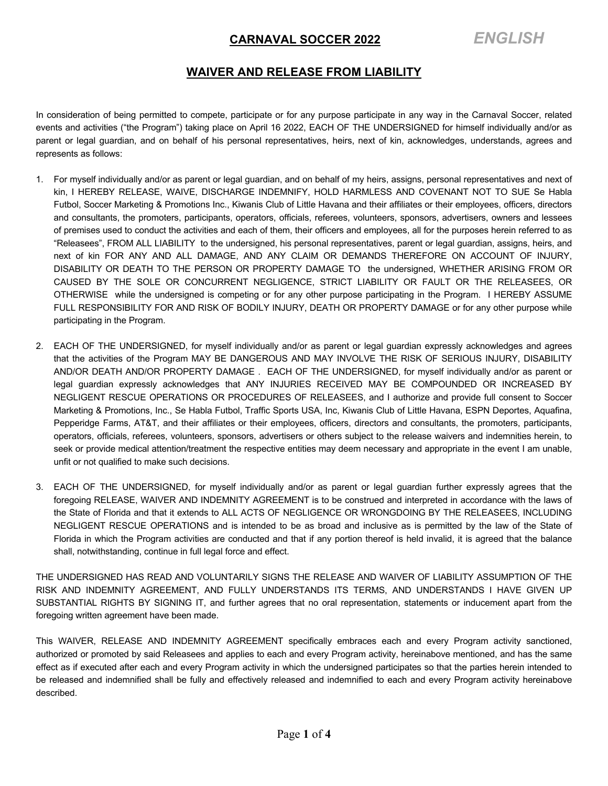### **CARNAVAL SOCCER 2022** *ENGLISH*

#### **WAIVER AND RELEASE FROM LIABILITY**

In consideration of being permitted to compete, participate or for any purpose participate in any way in the Carnaval Soccer, related events and activities ("the Program") taking place on April 16 2022, EACH OF THE UNDERSIGNED for himself individually and/or as parent or legal guardian, and on behalf of his personal representatives, heirs, next of kin, acknowledges, understands, agrees and represents as follows:

- 1. For myself individually and/or as parent or legal guardian, and on behalf of my heirs, assigns, personal representatives and next of kin, I HEREBY RELEASE, WAIVE, DISCHARGE INDEMNIFY, HOLD HARMLESS AND COVENANT NOT TO SUE Se Habla Futbol, Soccer Marketing & Promotions Inc., Kiwanis Club of Little Havana and their affiliates or their employees, officers, directors and consultants, the promoters, participants, operators, officials, referees, volunteers, sponsors, advertisers, owners and lessees of premises used to conduct the activities and each of them, their officers and employees, all for the purposes herein referred to as "Releasees", FROM ALL LIABILITY to the undersigned, his personal representatives, parent or legal guardian, assigns, heirs, and next of kin FOR ANY AND ALL DAMAGE, AND ANY CLAIM OR DEMANDS THEREFORE ON ACCOUNT OF INJURY, DISABILITY OR DEATH TO THE PERSON OR PROPERTY DAMAGE TO the undersigned, WHETHER ARISING FROM OR CAUSED BY THE SOLE OR CONCURRENT NEGLIGENCE, STRICT LIABILITY OR FAULT OR THE RELEASEES, OR OTHERWISE while the undersigned is competing or for any other purpose participating in the Program. I HEREBY ASSUME FULL RESPONSIBILITY FOR AND RISK OF BODILY INJURY, DEATH OR PROPERTY DAMAGE or for any other purpose while participating in the Program.
- 2. EACH OF THE UNDERSIGNED, for myself individually and/or as parent or legal guardian expressly acknowledges and agrees that the activities of the Program MAY BE DANGEROUS AND MAY INVOLVE THE RISK OF SERIOUS INJURY, DISABILITY AND/OR DEATH AND/OR PROPERTY DAMAGE . EACH OF THE UNDERSIGNED, for myself individually and/or as parent or legal guardian expressly acknowledges that ANY INJURIES RECEIVED MAY BE COMPOUNDED OR INCREASED BY NEGLIGENT RESCUE OPERATIONS OR PROCEDURES OF RELEASEES, and I authorize and provide full consent to Soccer Marketing & Promotions, Inc., Se Habla Futbol, Traffic Sports USA, Inc, Kiwanis Club of Little Havana, ESPN Deportes, Aquafina, Pepperidge Farms, AT&T, and their affiliates or their employees, officers, directors and consultants, the promoters, participants, operators, officials, referees, volunteers, sponsors, advertisers or others subject to the release waivers and indemnities herein, to seek or provide medical attention/treatment the respective entities may deem necessary and appropriate in the event I am unable, unfit or not qualified to make such decisions.
- 3. EACH OF THE UNDERSIGNED, for myself individually and/or as parent or legal guardian further expressly agrees that the foregoing RELEASE, WAIVER AND INDEMNITY AGREEMENT is to be construed and interpreted in accordance with the laws of the State of Florida and that it extends to ALL ACTS OF NEGLIGENCE OR WRONGDOING BY THE RELEASEES, INCLUDING NEGLIGENT RESCUE OPERATIONS and is intended to be as broad and inclusive as is permitted by the law of the State of Florida in which the Program activities are conducted and that if any portion thereof is held invalid, it is agreed that the balance shall, notwithstanding, continue in full legal force and effect.

THE UNDERSIGNED HAS READ AND VOLUNTARILY SIGNS THE RELEASE AND WAIVER OF LIABILITY ASSUMPTION OF THE RISK AND INDEMNITY AGREEMENT, AND FULLY UNDERSTANDS ITS TERMS, AND UNDERSTANDS I HAVE GIVEN UP SUBSTANTIAL RIGHTS BY SIGNING IT, and further agrees that no oral representation, statements or inducement apart from the foregoing written agreement have been made.

This WAIVER, RELEASE AND INDEMNITY AGREEMENT specifically embraces each and every Program activity sanctioned, authorized or promoted by said Releasees and applies to each and every Program activity, hereinabove mentioned, and has the same effect as if executed after each and every Program activity in which the undersigned participates so that the parties herein intended to be released and indemnified shall be fully and effectively released and indemnified to each and every Program activity hereinabove described.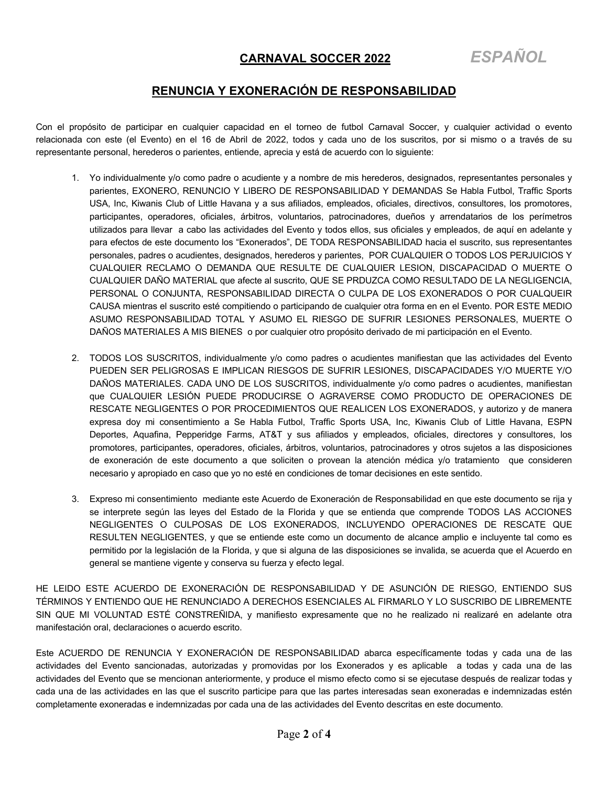#### **RENUNCIA Y EXONERACIÓN DE RESPONSABILIDAD**

Con el propósito de participar en cualquier capacidad en el torneo de futbol Carnaval Soccer, y cualquier actividad o evento relacionada con este (el Evento) en el 16 de Abril de 2022, todos y cada uno de los suscritos, por si mismo o a través de su representante personal, herederos o parientes, entiende, aprecia y está de acuerdo con lo siguiente:

- 1. Yo individualmente y/o como padre o acudiente y a nombre de mis herederos, designados, representantes personales y parientes, EXONERO, RENUNCIO Y LIBERO DE RESPONSABILIDAD Y DEMANDAS Se Habla Futbol, Traffic Sports USA, Inc, Kiwanis Club of Little Havana y a sus afiliados, empleados, oficiales, directivos, consultores, los promotores, participantes, operadores, oficiales, árbitros, voluntarios, patrocinadores, dueños y arrendatarios de los perímetros utilizados para llevar a cabo las actividades del Evento y todos ellos, sus oficiales y empleados, de aquí en adelante y para efectos de este documento los "Exonerados", DE TODA RESPONSABILIDAD hacia el suscrito, sus representantes personales, padres o acudientes, designados, herederos y parientes, POR CUALQUIER O TODOS LOS PERJUICIOS Y CUALQUIER RECLAMO O DEMANDA QUE RESULTE DE CUALQUIER LESION, DISCAPACIDAD O MUERTE O CUALQUIER DAÑO MATERIAL que afecte al suscrito, QUE SE PRDUZCA COMO RESULTADO DE LA NEGLIGENCIA, PERSONAL O CONJUNTA, RESPONSABILIDAD DIRECTA O CULPA DE LOS EXONERADOS O POR CUALQUEIR CAUSA mientras el suscrito esté compitiendo o participando de cualquier otra forma en en el Evento. POR ESTE MEDIO ASUMO RESPONSABILIDAD TOTAL Y ASUMO EL RIESGO DE SUFRIR LESIONES PERSONALES, MUERTE O DAÑOS MATERIALES A MIS BIENES o por cualquier otro propósito derivado de mi participación en el Evento.
- 2. TODOS LOS SUSCRITOS, individualmente y/o como padres o acudientes manifiestan que las actividades del Evento PUEDEN SER PELIGROSAS E IMPLICAN RIESGOS DE SUFRIR LESIONES, DISCAPACIDADES Y/O MUERTE Y/O DAÑOS MATERIALES. CADA UNO DE LOS SUSCRITOS, individualmente y/o como padres o acudientes, manifiestan que CUALQUIER LESIÓN PUEDE PRODUCIRSE O AGRAVERSE COMO PRODUCTO DE OPERACIONES DE RESCATE NEGLIGENTES O POR PROCEDIMIENTOS QUE REALICEN LOS EXONERADOS, y autorizo y de manera expresa doy mi consentimiento a Se Habla Futbol, Traffic Sports USA, Inc, Kiwanis Club of Little Havana, ESPN Deportes, Aquafina, Pepperidge Farms, AT&T y sus afiliados y empleados, oficiales, directores y consultores, los promotores, participantes, operadores, oficiales, árbitros, voluntarios, patrocinadores y otros sujetos a las disposiciones de exoneración de este documento a que soliciten o provean la atención médica y/o tratamiento que consideren necesario y apropiado en caso que yo no esté en condiciones de tomar decisiones en este sentido.
- 3. Expreso mi consentimiento mediante este Acuerdo de Exoneración de Responsabilidad en que este documento se rija y se interprete según las leyes del Estado de la Florida y que se entienda que comprende TODOS LAS ACCIONES NEGLIGENTES O CULPOSAS DE LOS EXONERADOS, INCLUYENDO OPERACIONES DE RESCATE QUE RESULTEN NEGLIGENTES, y que se entiende este como un documento de alcance amplio e incluyente tal como es permitido por la legislación de la Florida, y que si alguna de las disposiciones se invalida, se acuerda que el Acuerdo en general se mantiene vigente y conserva su fuerza y efecto legal.

HE LEIDO ESTE ACUERDO DE EXONERACIÓN DE RESPONSABILIDAD Y DE ASUNCIÓN DE RIESGO, ENTIENDO SUS TÉRMINOS Y ENTIENDO QUE HE RENUNCIADO A DERECHOS ESENCIALES AL FIRMARLO Y LO SUSCRIBO DE LIBREMENTE SIN QUE MI VOLUNTAD ESTÉ CONSTREÑIDA, y manifiesto expresamente que no he realizado ni realizaré en adelante otra manifestación oral, declaraciones o acuerdo escrito.

Este ACUERDO DE RENUNCIA Y EXONERACIÓN DE RESPONSABILIDAD abarca específicamente todas y cada una de las actividades del Evento sancionadas, autorizadas y promovidas por los Exonerados y es aplicable a todas y cada una de las actividades del Evento que se mencionan anteriormente, y produce el mismo efecto como si se ejecutase después de realizar todas y cada una de las actividades en las que el suscrito participe para que las partes interesadas sean exoneradas e indemnizadas estén completamente exoneradas e indemnizadas por cada una de las actividades del Evento descritas en este documento.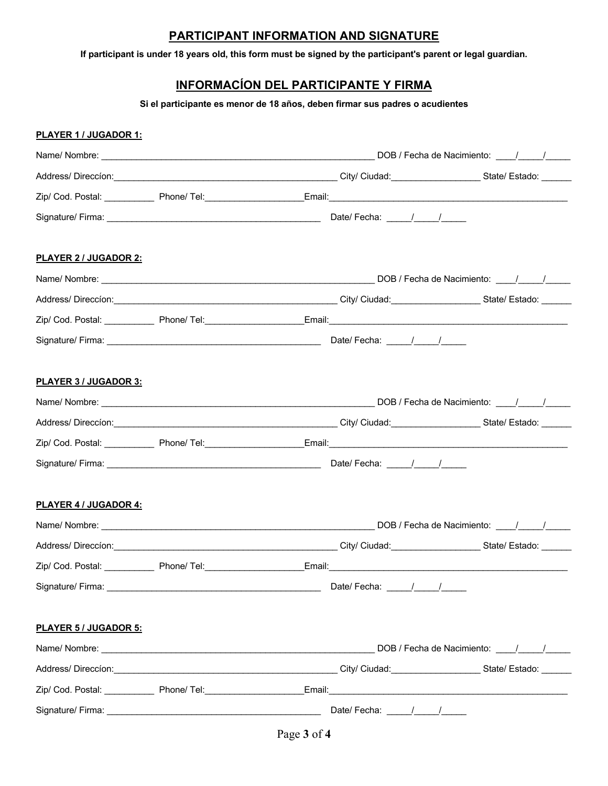## **PARTICIPANT INFORMATION AND SIGNATURE**

**If participant is under 18 years old, this form must be signed by the participant's parent or legal guardian.**

# **INFORMACÍON DEL PARTICIPANTE Y FIRMA**

**Si el participante es menor de 18 años, deben firmar sus padres o acudientes**

| <u>PLAYER 1 / JUGADOR 1:</u> |                                                                                  |                                            |
|------------------------------|----------------------------------------------------------------------------------|--------------------------------------------|
|                              |                                                                                  |                                            |
|                              |                                                                                  |                                            |
|                              |                                                                                  |                                            |
|                              |                                                                                  |                                            |
| <b>PLAYER 2 / JUGADOR 2:</b> |                                                                                  |                                            |
|                              |                                                                                  |                                            |
|                              |                                                                                  |                                            |
|                              |                                                                                  |                                            |
|                              |                                                                                  |                                            |
| <b>PLAYER 3 / JUGADOR 3:</b> |                                                                                  |                                            |
|                              |                                                                                  |                                            |
|                              |                                                                                  |                                            |
|                              |                                                                                  |                                            |
|                              |                                                                                  |                                            |
| <u>PLAYER 4 / JUGADOR 4:</u> |                                                                                  |                                            |
|                              |                                                                                  |                                            |
|                              |                                                                                  |                                            |
|                              | Zip/ Cod. Postal: ______________ Phone/ Tel: ___________________________________ | Email:                                     |
|                              |                                                                                  |                                            |
| <b>PLAYER 5 / JUGADOR 5:</b> |                                                                                  |                                            |
|                              |                                                                                  | DOB / Fecha de Nacimiento: \[\sqrtdgg / \] |
|                              |                                                                                  |                                            |
|                              |                                                                                  |                                            |
|                              |                                                                                  | Date/Fecha: $\frac{1}{\sqrt{2}}$           |